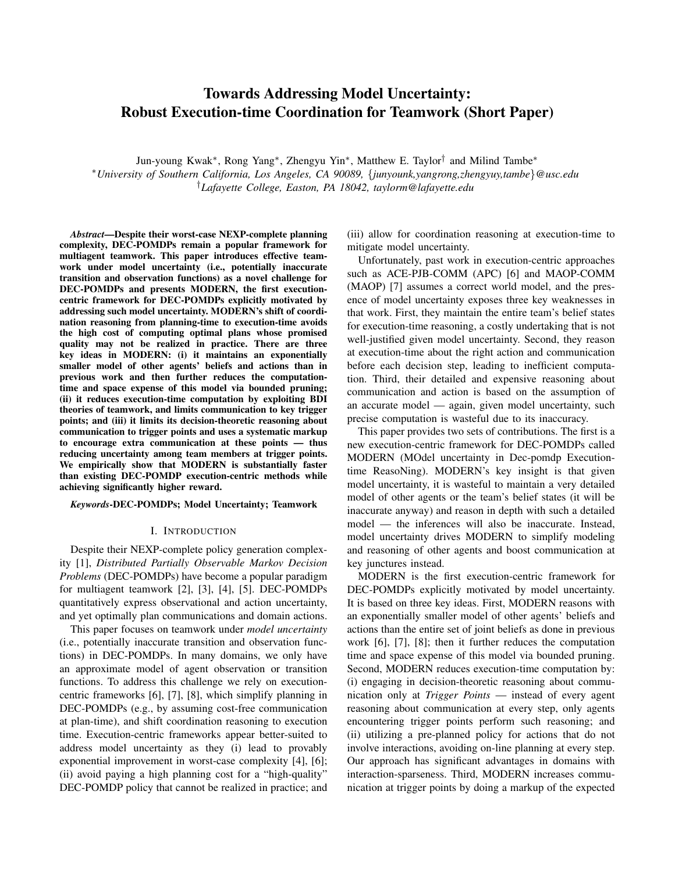# Towards Addressing Model Uncertainty: Robust Execution-time Coordination for Teamwork (Short Paper)

Jun-young Kwak<sup>∗</sup> , Rong Yang<sup>∗</sup> , Zhengyu Yin<sup>∗</sup> , Matthew E. Taylor† and Milind Tambe<sup>∗</sup>

<sup>∗</sup>*University of Southern California, Los Angeles, CA 90089,* {*junyounk,yangrong,zhengyuy,tambe*}*@usc.edu* †*Lafayette College, Easton, PA 18042, taylorm@lafayette.edu*

*Abstract*—Despite their worst-case NEXP-complete planning complexity, DEC-POMDPs remain a popular framework for multiagent teamwork. This paper introduces effective teamwork under model uncertainty (i.e., potentially inaccurate transition and observation functions) as a novel challenge for DEC-POMDPs and presents MODERN, the first executioncentric framework for DEC-POMDPs explicitly motivated by addressing such model uncertainty. MODERN's shift of coordination reasoning from planning-time to execution-time avoids the high cost of computing optimal plans whose promised quality may not be realized in practice. There are three key ideas in MODERN: (i) it maintains an exponentially smaller model of other agents' beliefs and actions than in previous work and then further reduces the computationtime and space expense of this model via bounded pruning; (ii) it reduces execution-time computation by exploiting BDI theories of teamwork, and limits communication to key trigger points; and (iii) it limits its decision-theoretic reasoning about communication to trigger points and uses a systematic markup to encourage extra communication at these points — thus reducing uncertainty among team members at trigger points. We empirically show that MODERN is substantially faster than existing DEC-POMDP execution-centric methods while achieving significantly higher reward.

## *Keywords*-DEC-POMDPs; Model Uncertainty; Teamwork

### I. INTRODUCTION

Despite their NEXP-complete policy generation complexity [1], *Distributed Partially Observable Markov Decision Problems* (DEC-POMDPs) have become a popular paradigm for multiagent teamwork [2], [3], [4], [5]. DEC-POMDPs quantitatively express observational and action uncertainty, and yet optimally plan communications and domain actions.

This paper focuses on teamwork under *model uncertainty* (i.e., potentially inaccurate transition and observation functions) in DEC-POMDPs. In many domains, we only have an approximate model of agent observation or transition functions. To address this challenge we rely on executioncentric frameworks [6], [7], [8], which simplify planning in DEC-POMDPs (e.g., by assuming cost-free communication at plan-time), and shift coordination reasoning to execution time. Execution-centric frameworks appear better-suited to address model uncertainty as they (i) lead to provably exponential improvement in worst-case complexity [4], [6]; (ii) avoid paying a high planning cost for a "high-quality" DEC-POMDP policy that cannot be realized in practice; and (iii) allow for coordination reasoning at execution-time to mitigate model uncertainty.

Unfortunately, past work in execution-centric approaches such as ACE-PJB-COMM (APC) [6] and MAOP-COMM (MAOP) [7] assumes a correct world model, and the presence of model uncertainty exposes three key weaknesses in that work. First, they maintain the entire team's belief states for execution-time reasoning, a costly undertaking that is not well-justified given model uncertainty. Second, they reason at execution-time about the right action and communication before each decision step, leading to inefficient computation. Third, their detailed and expensive reasoning about communication and action is based on the assumption of an accurate model — again, given model uncertainty, such precise computation is wasteful due to its inaccuracy.

This paper provides two sets of contributions. The first is a new execution-centric framework for DEC-POMDPs called MODERN (MOdel uncertainty in Dec-pomdp Executiontime ReasoNing). MODERN's key insight is that given model uncertainty, it is wasteful to maintain a very detailed model of other agents or the team's belief states (it will be inaccurate anyway) and reason in depth with such a detailed model — the inferences will also be inaccurate. Instead, model uncertainty drives MODERN to simplify modeling and reasoning of other agents and boost communication at key junctures instead.

MODERN is the first execution-centric framework for DEC-POMDPs explicitly motivated by model uncertainty. It is based on three key ideas. First, MODERN reasons with an exponentially smaller model of other agents' beliefs and actions than the entire set of joint beliefs as done in previous work [6], [7], [8]; then it further reduces the computation time and space expense of this model via bounded pruning. Second, MODERN reduces execution-time computation by: (i) engaging in decision-theoretic reasoning about communication only at *Trigger Points* — instead of every agent reasoning about communication at every step, only agents encountering trigger points perform such reasoning; and (ii) utilizing a pre-planned policy for actions that do not involve interactions, avoiding on-line planning at every step. Our approach has significant advantages in domains with interaction-sparseness. Third, MODERN increases communication at trigger points by doing a markup of the expected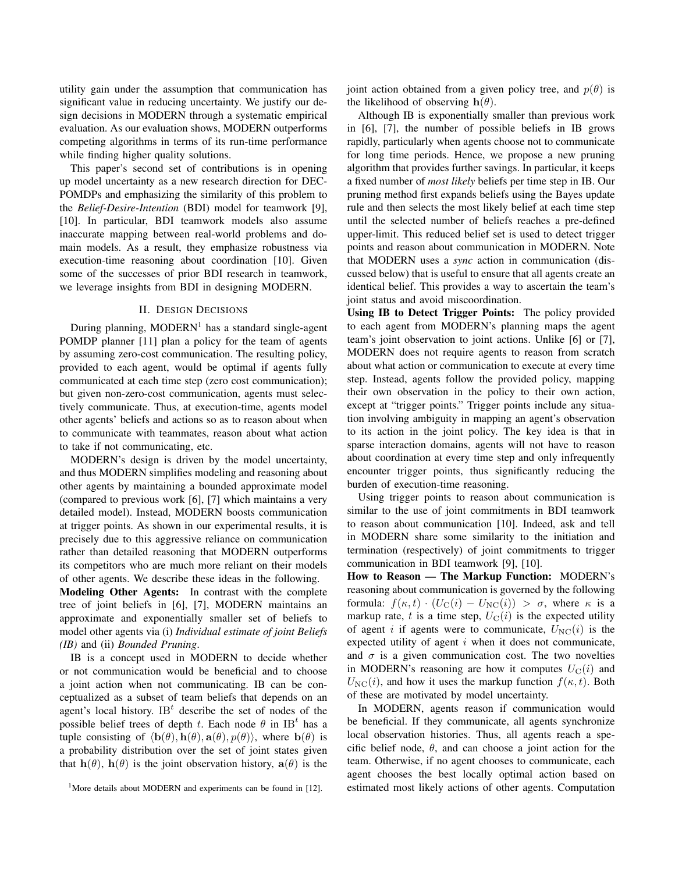utility gain under the assumption that communication has significant value in reducing uncertainty. We justify our design decisions in MODERN through a systematic empirical evaluation. As our evaluation shows, MODERN outperforms competing algorithms in terms of its run-time performance while finding higher quality solutions.

This paper's second set of contributions is in opening up model uncertainty as a new research direction for DEC-POMDPs and emphasizing the similarity of this problem to the *Belief-Desire-Intention* (BDI) model for teamwork [9], [10]. In particular, BDI teamwork models also assume inaccurate mapping between real-world problems and domain models. As a result, they emphasize robustness via execution-time reasoning about coordination [10]. Given some of the successes of prior BDI research in teamwork, we leverage insights from BDI in designing MODERN.

## II. DESIGN DECISIONS

During planning,  $MODERN<sup>1</sup>$  has a standard single-agent POMDP planner [11] plan a policy for the team of agents by assuming zero-cost communication. The resulting policy, provided to each agent, would be optimal if agents fully communicated at each time step (zero cost communication); but given non-zero-cost communication, agents must selectively communicate. Thus, at execution-time, agents model other agents' beliefs and actions so as to reason about when to communicate with teammates, reason about what action to take if not communicating, etc.

MODERN's design is driven by the model uncertainty, and thus MODERN simplifies modeling and reasoning about other agents by maintaining a bounded approximate model (compared to previous work [6], [7] which maintains a very detailed model). Instead, MODERN boosts communication at trigger points. As shown in our experimental results, it is precisely due to this aggressive reliance on communication rather than detailed reasoning that MODERN outperforms its competitors who are much more reliant on their models of other agents. We describe these ideas in the following.

Modeling Other Agents: In contrast with the complete tree of joint beliefs in [6], [7], MODERN maintains an approximate and exponentially smaller set of beliefs to model other agents via (i) *Individual estimate of joint Beliefs (IB)* and (ii) *Bounded Pruning*.

IB is a concept used in MODERN to decide whether or not communication would be beneficial and to choose a joint action when not communicating. IB can be conceptualized as a subset of team beliefs that depends on an agent's local history.  $IB<sup>t</sup>$  describe the set of nodes of the possible belief trees of depth t. Each node  $\theta$  in IB<sup>t</sup> has a tuple consisting of  $\langle \mathbf{b}(\theta), \mathbf{h}(\theta), \mathbf{a}(\theta), p(\theta) \rangle$ , where  $\mathbf{b}(\theta)$  is a probability distribution over the set of joint states given that  $h(\theta)$ ,  $h(\theta)$  is the joint observation history,  $a(\theta)$  is the joint action obtained from a given policy tree, and  $p(\theta)$  is the likelihood of observing  $h(\theta)$ .

Although IB is exponentially smaller than previous work in [6], [7], the number of possible beliefs in IB grows rapidly, particularly when agents choose not to communicate for long time periods. Hence, we propose a new pruning algorithm that provides further savings. In particular, it keeps a fixed number of *most likely* beliefs per time step in IB. Our pruning method first expands beliefs using the Bayes update rule and then selects the most likely belief at each time step until the selected number of beliefs reaches a pre-defined upper-limit. This reduced belief set is used to detect trigger points and reason about communication in MODERN. Note that MODERN uses a *sync* action in communication (discussed below) that is useful to ensure that all agents create an identical belief. This provides a way to ascertain the team's joint status and avoid miscoordination.

Using IB to Detect Trigger Points: The policy provided to each agent from MODERN's planning maps the agent team's joint observation to joint actions. Unlike [6] or [7], MODERN does not require agents to reason from scratch about what action or communication to execute at every time step. Instead, agents follow the provided policy, mapping their own observation in the policy to their own action, except at "trigger points." Trigger points include any situation involving ambiguity in mapping an agent's observation to its action in the joint policy. The key idea is that in sparse interaction domains, agents will not have to reason about coordination at every time step and only infrequently encounter trigger points, thus significantly reducing the burden of execution-time reasoning.

Using trigger points to reason about communication is similar to the use of joint commitments in BDI teamwork to reason about communication [10]. Indeed, ask and tell in MODERN share some similarity to the initiation and termination (respectively) of joint commitments to trigger communication in BDI teamwork [9], [10].

How to Reason — The Markup Function: MODERN's reasoning about communication is governed by the following formula:  $f(\kappa, t) \cdot (U_{\text{C}}(i) - U_{\text{NC}}(i)) > \sigma$ , where  $\kappa$  is a markup rate, t is a time step,  $U_{\text{C}}(i)$  is the expected utility of agent i if agents were to communicate,  $U_{\text{NC}}(i)$  is the expected utility of agent  $i$  when it does not communicate, and  $\sigma$  is a given communication cost. The two novelties in MODERN's reasoning are how it computes  $U_{\text{C}}(i)$  and  $U_{\text{NC}}(i)$ , and how it uses the markup function  $f(\kappa, t)$ . Both of these are motivated by model uncertainty.

In MODERN, agents reason if communication would be beneficial. If they communicate, all agents synchronize local observation histories. Thus, all agents reach a specific belief node,  $\theta$ , and can choose a joint action for the team. Otherwise, if no agent chooses to communicate, each agent chooses the best locally optimal action based on estimated most likely actions of other agents. Computation

<sup>&</sup>lt;sup>1</sup>More details about MODERN and experiments can be found in [12].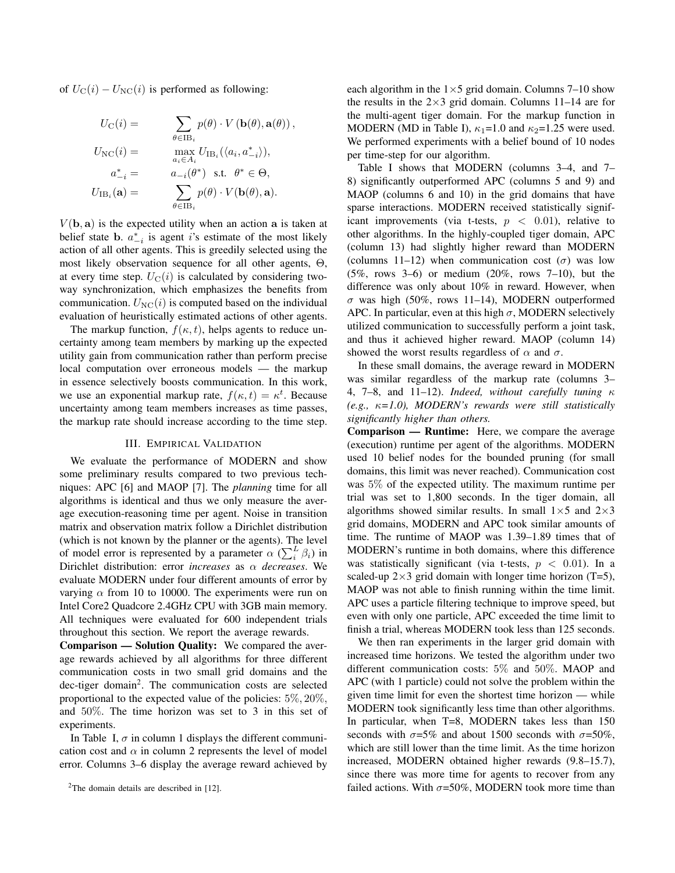of  $U_{\rm C}(i) - U_{\rm NC}(i)$  is performed as following:

$$
U_{\mathcal{C}}(i) = \sum_{\theta \in \mathcal{B}_i} p(\theta) \cdot V(\mathbf{b}(\theta), \mathbf{a}(\theta)),
$$
  
\n
$$
U_{\mathcal{NC}}(i) = \max_{a_i \in A_i} U_{\mathcal{IB}_i}(\langle a_i, a_{-i}^* \rangle),
$$
  
\n
$$
a_{-i}^* = a_{-i}(\theta^*) \text{ s.t. } \theta^* \in \Theta,
$$
  
\n
$$
U_{\mathcal{IB}_i}(\mathbf{a}) = \sum_{\theta \in \mathcal{IB}_i} p(\theta) \cdot V(\mathbf{b}(\theta), \mathbf{a}).
$$

 $V(\mathbf{b}, \mathbf{a})$  is the expected utility when an action  $\mathbf{a}$  is taken at belief state b.  $a_{-i}^*$  is agent i's estimate of the most likely action of all other agents. This is greedily selected using the most likely observation sequence for all other agents, Θ, at every time step.  $U_{\text{C}}(i)$  is calculated by considering twoway synchronization, which emphasizes the benefits from communication.  $U_{\text{NC}}(i)$  is computed based on the individual evaluation of heuristically estimated actions of other agents.

The markup function,  $f(\kappa, t)$ , helps agents to reduce uncertainty among team members by marking up the expected utility gain from communication rather than perform precise local computation over erroneous models — the markup in essence selectively boosts communication. In this work, we use an exponential markup rate,  $f(\kappa, t) = \kappa^t$ . Because uncertainty among team members increases as time passes, the markup rate should increase according to the time step.

# III. EMPIRICAL VALIDATION

We evaluate the performance of MODERN and show some preliminary results compared to two previous techniques: APC [6] and MAOP [7]. The *planning* time for all algorithms is identical and thus we only measure the average execution-reasoning time per agent. Noise in transition matrix and observation matrix follow a Dirichlet distribution (which is not known by the planner or the agents). The level of model error is represented by a parameter  $\alpha$  ( $\sum_i^L \beta_i$ ) in Dirichlet distribution: error *increases* as α *decreases*. We evaluate MODERN under four different amounts of error by varying  $\alpha$  from 10 to 10000. The experiments were run on Intel Core2 Quadcore 2.4GHz CPU with 3GB main memory. All techniques were evaluated for 600 independent trials throughout this section. We report the average rewards.

Comparison — Solution Quality: We compared the average rewards achieved by all algorithms for three different communication costs in two small grid domains and the dec-tiger domain<sup>2</sup>. The communication costs are selected proportional to the expected value of the policies: 5%, 20%, and 50%. The time horizon was set to 3 in this set of experiments.

In Table I,  $\sigma$  in column 1 displays the different communication cost and  $\alpha$  in column 2 represents the level of model error. Columns 3–6 display the average reward achieved by each algorithm in the  $1\times 5$  grid domain. Columns 7–10 show the results in the  $2\times3$  grid domain. Columns 11–14 are for the multi-agent tiger domain. For the markup function in MODERN (MD in Table I),  $\kappa_1 = 1.0$  and  $\kappa_2 = 1.25$  were used. We performed experiments with a belief bound of 10 nodes per time-step for our algorithm.

Table I shows that MODERN (columns 3–4, and 7– 8) significantly outperformed APC (columns 5 and 9) and MAOP (columns 6 and 10) in the grid domains that have sparse interactions. MODERN received statistically significant improvements (via t-tests,  $p < 0.01$ ), relative to other algorithms. In the highly-coupled tiger domain, APC (column 13) had slightly higher reward than MODERN (columns 11–12) when communication cost ( $\sigma$ ) was low (5%, rows 3–6) or medium (20%, rows 7–10), but the difference was only about 10% in reward. However, when  $\sigma$  was high (50%, rows 11–14), MODERN outperformed APC. In particular, even at this high  $\sigma$ , MODERN selectively utilized communication to successfully perform a joint task, and thus it achieved higher reward. MAOP (column 14) showed the worst results regardless of  $\alpha$  and  $\sigma$ .

In these small domains, the average reward in MODERN was similar regardless of the markup rate (columns 3– 4, 7–8, and 11–12). *Indeed, without carefully tuning* κ *(e.g.,* κ*=1.0), MODERN's rewards were still statistically significantly higher than others.*

Comparison — Runtime: Here, we compare the average (execution) runtime per agent of the algorithms. MODERN used 10 belief nodes for the bounded pruning (for small domains, this limit was never reached). Communication cost was 5% of the expected utility. The maximum runtime per trial was set to 1,800 seconds. In the tiger domain, all algorithms showed similar results. In small  $1\times 5$  and  $2\times 3$ grid domains, MODERN and APC took similar amounts of time. The runtime of MAOP was 1.39–1.89 times that of MODERN's runtime in both domains, where this difference was statistically significant (via t-tests,  $p < 0.01$ ). In a scaled-up  $2\times3$  grid domain with longer time horizon (T=5), MAOP was not able to finish running within the time limit. APC uses a particle filtering technique to improve speed, but even with only one particle, APC exceeded the time limit to finish a trial, whereas MODERN took less than 125 seconds.

We then ran experiments in the larger grid domain with increased time horizons. We tested the algorithm under two different communication costs: 5% and 50%. MAOP and APC (with 1 particle) could not solve the problem within the given time limit for even the shortest time horizon — while MODERN took significantly less time than other algorithms. In particular, when T=8, MODERN takes less than 150 seconds with  $\sigma = 5\%$  and about 1500 seconds with  $\sigma = 50\%$ , which are still lower than the time limit. As the time horizon increased, MODERN obtained higher rewards (9.8–15.7), since there was more time for agents to recover from any failed actions. With  $\sigma$ =50%, MODERN took more time than

<sup>&</sup>lt;sup>2</sup>The domain details are described in  $[12]$ .